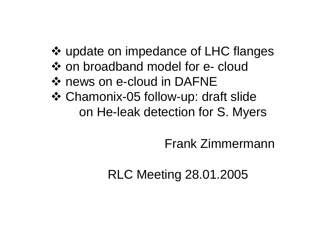- update on impedance of LHC flanges
- ❖ on broadband model for e- cloud
- **❖ news on e-cloud in DAFNE**
- Chamonix-05 follow-up: draft slide on He-leak detection for S. Myers

## Frank Zimmermann

## RLC Meeting 28.01.2005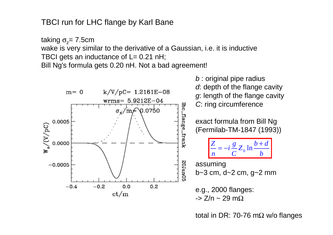TBCI run for LHC flange by Karl Bane

taking σ<sub>z</sub>= 7.5cm

wake is very similar to the derivative of a Gaussian, i.e. it is inductive TBCI gets an inductance of  $L = 0.21$  nH;

Bill Ng's formula gets 0.20 nH. Not a bad agreement!



total in DR: 70-76 m $\Omega$  w/o flanges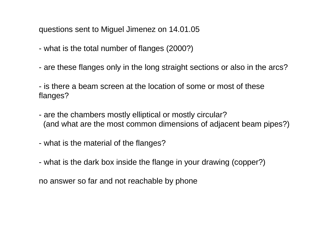questions sent to Miguel Jimenez on 14.01.05

- what is the total number of flanges (2000?)
- are these flanges only in the long straight sections or also in the arcs?

- is there a beam screen at the location of some or most of theseflanges?

- are the chambers mostly elliptical or mostly circular? (and what are the most common dimensions of adjacent beam pipes?)
- what is the material of the flanges?
- what is the dark box inside the flange in your drawing (copper?)

no answer so far and not reachable by phone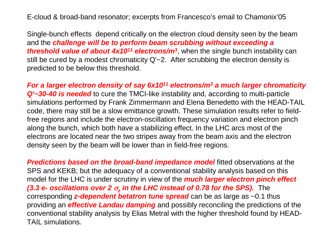E-cloud & broad-band resonator; excerpts from Francesco's email to Chamonix'05

Single-bunch effects depend critically on the electron cloud density seen by the beam and the *challenge will be to perform beam scrubbing without exceeding a threshold value of about 4x1011 electrons/m 3*, when the single bunch instability can still be cured by a modest chromaticity Q'~2. After scrubbing the electron density is predicted to be below this threshold.

*For a larger electron density of say 6x1011 electrons/m 3 a much larger chromaticity Q'~30-40 is needed* to cure the TMCI-like instability and, according to multi-particle simulations performed by Frank Zimmermann and Elena Benedetto with the HEAD-TAIL code, there may still be a slow emittance growth. These simulation results refer to fieldfree regions and include the electron-oscillation frequency variation and electron pinch along the bunch, which both have a stabilizing effect. In the LHC arcs most of the electrons are located near the two stripes away from the beam axis and the electron density seen by the beam will be lower than in field-free regions.

*Predictions based on the broad-band impedance model* fitted observations at the SPS and KEKB; but the adequacy of a conventional stability analysis based on this model for the LHC is under scrutiny in view of the *much larger electron pinch effect (3.3 e- oscillations over 2*  <sup>σ</sup>*z in the LHC instead of 0.78 for the SPS).* The corresponding *z-dependent betatron tune spread* can be as large as ~0.1 thus providing an *effective Landau damping* and possibly reconciling the predictions of the conventional stability analysis by Elias Metral with the higher threshold found by HEAD-TAIL simulations.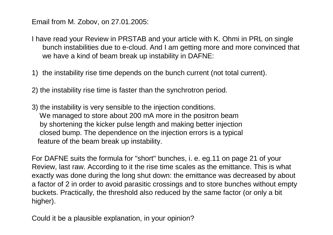Email from M. Zobov, on 27.01.2005:

I have read your Review in PRSTAB and your article with K. Ohmi in PRL on single bunch instabilities due to e-cloud. And I am getting more and more convinced that we have a kind of beam break up instability in DAFNE:

1) the instability rise time depends on the bunch current (not total current).

2) the instability rise time is faster than the synchrotron period.

3) the instability is very sensible to the injection conditions. We managed to store about 200 mA more in the positron beam by shortening the kicker pulse length and making better injection closed bump. The dependence on the injection errors is a typical feature of the beam break up instability.

For DAFNE suits the formula for "short" bunches, i. e. eg.11 on page 21 of your Review, last raw. According to it the rise time scales as the emittance. This is what exactly was done during the long shut down: the emittance was decreased by about a factor of 2 in order to avoid parasitic crossings and to store bunches without empty buckets. Practically, the threshold also reduced by the same factor (or only a bit higher).

Could it be a plausible explanation, in your opinion?